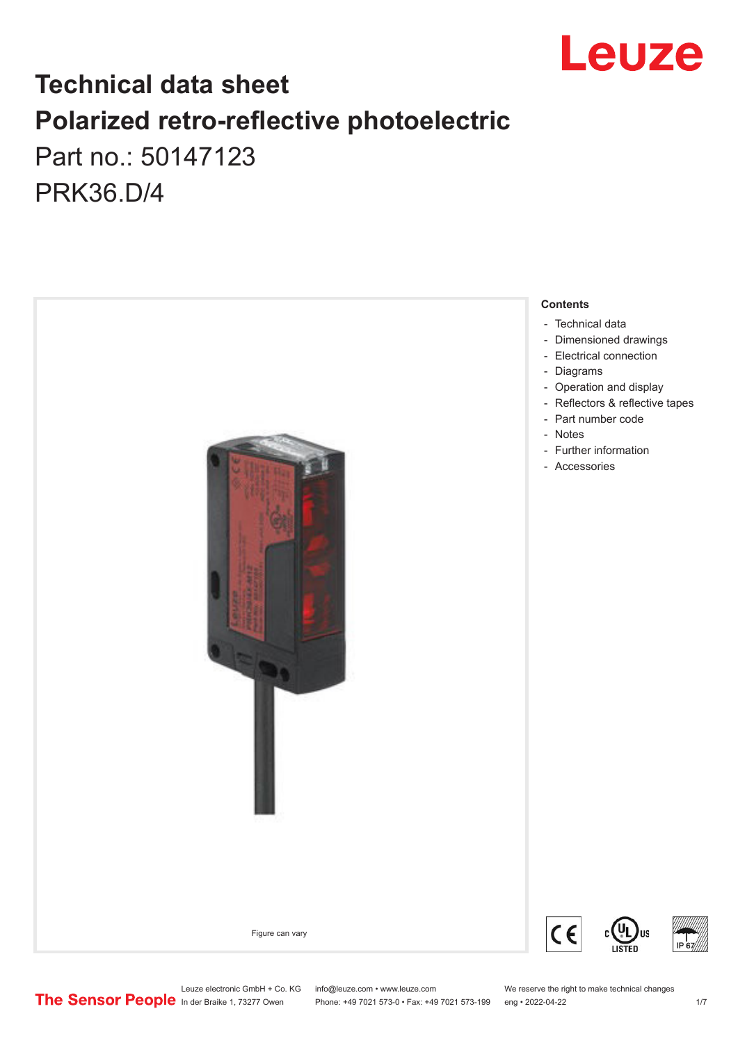

# **Technical data sheet Polarized retro-reflective photoelectric**  Part no.: 50147123

PRK36.D/4



Phone: +49 7021 573-0 • Fax: +49 7021 573-199 eng • 2022-04-22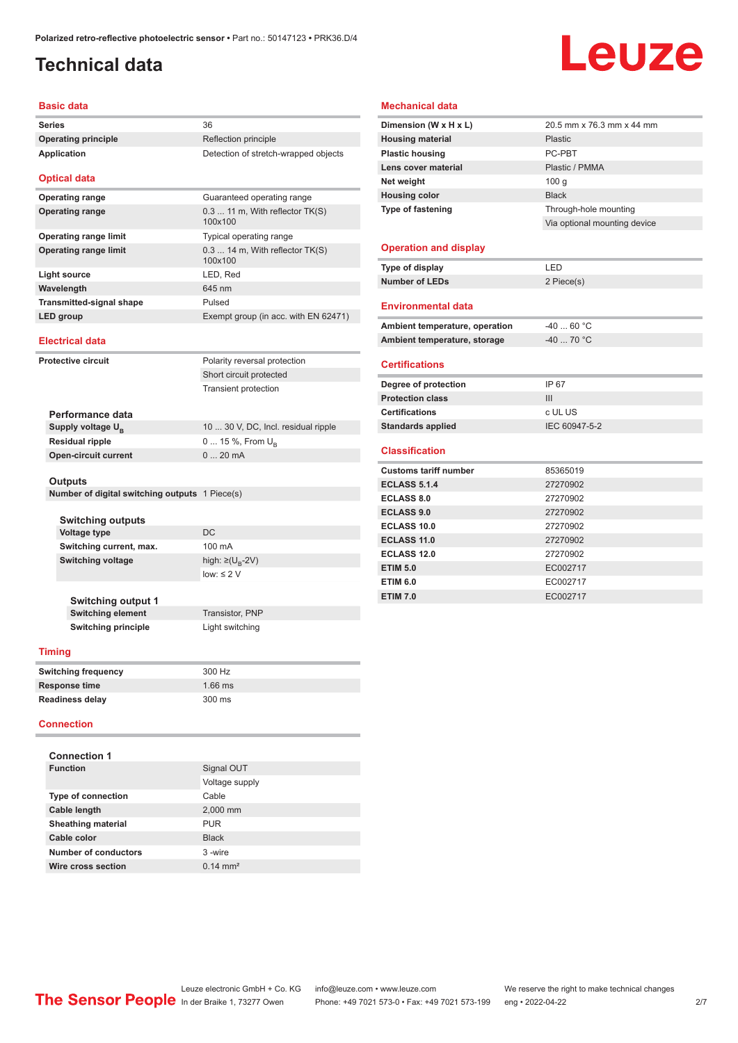# <span id="page-1-0"></span>**Technical data**

# Leuze

#### **Basic data**

| <b>Series</b>                   | 36                                           |
|---------------------------------|----------------------------------------------|
| <b>Operating principle</b>      | Reflection principle                         |
| Application                     | Detection of stretch-wrapped objects         |
| <b>Optical data</b>             |                                              |
| <b>Operating range</b>          | Guaranteed operating range                   |
| <b>Operating range</b>          | 0.3  11 m, With reflector TK(S)<br>100x100   |
| <b>Operating range limit</b>    | Typical operating range                      |
| <b>Operating range limit</b>    | $0.314$ m, With reflector $TK(S)$<br>100x100 |
| Light source                    | LED, Red                                     |
| Wavelength                      | 645 nm                                       |
| <b>Transmitted-signal shape</b> | Pulsed                                       |
| LED group                       | Exempt group (in acc. with EN 62471)         |
| <b>Electrical data</b>          |                                              |
|                                 |                                              |
| Protective circuit              | Polarity reversal protection                 |
|                                 | Short circuit protected                      |
|                                 | <b>Transient protection</b>                  |

| Performance data              |                                     |
|-------------------------------|-------------------------------------|
| Supply voltage U <sub>B</sub> | 10  30 V, DC, Incl. residual ripple |
| <b>Residual ripple</b>        | $0 15 \%$ , From $U_{p}$            |
| <b>Open-circuit current</b>   | $020$ mA                            |
|                               |                                     |

#### **Outputs**

**Number of digital switching outputs** 1 Piece(s)

| <b>Switching outputs</b> |                                   |
|--------------------------|-----------------------------------|
| Voltage type             | DC.                               |
| Switching current, max.  | $100 \text{ mA}$                  |
| Switching voltage        | high: $\geq$ (U <sub>B</sub> -2V) |
|                          | $low: \leq 2$ V                   |
|                          |                                   |

**Switching output 1 Switching element** Transistor, PNP **Switching principle** Light switching

#### **Timing**

| <b>Switching frequency</b> | 300 Hz    |  |
|----------------------------|-----------|--|
| Response time              | $1.66$ ms |  |
| <b>Readiness delay</b>     | 300 ms    |  |

#### **Connection**

| Signal OUT          |
|---------------------|
| Voltage supply      |
| Cable               |
| 2,000 mm            |
| <b>PUR</b>          |
| <b>Black</b>        |
| 3-wire              |
| $0.14 \text{ mm}^2$ |
|                     |

#### **Mechanical data**

| Dimension (W x H x L)          | 20.5 mm x 76.3 mm x 44 mm    |
|--------------------------------|------------------------------|
| <b>Housing material</b>        | Plastic                      |
| <b>Plastic housing</b>         | PC-PBT                       |
| Lens cover material            | Plastic / PMMA               |
| Net weight                     | 100q                         |
| <b>Housing color</b>           | <b>Black</b>                 |
| <b>Type of fastening</b>       | Through-hole mounting        |
|                                | Via optional mounting device |
|                                |                              |
| <b>Operation and display</b>   |                              |
| Type of display                | LED                          |
| <b>Number of LEDs</b>          | 2 Piece(s)                   |
|                                |                              |
| <b>Environmental data</b>      |                              |
| Ambient temperature, operation | $-4060 °C$                   |
| Ambient temperature, storage   | $-40$ 70 °C                  |
|                                |                              |
| <b>Certifications</b>          |                              |
| Degree of protection           | IP 67                        |
| <b>Protection class</b>        | Ш                            |
| <b>Certifications</b>          | c UL US                      |
| <b>Standards applied</b>       | IEC 60947-5-2                |
|                                |                              |
| <b>Classification</b>          |                              |
| <b>Customs tariff number</b>   | 85365019                     |
| <b>ECLASS 5.1.4</b>            | 27270902                     |
| <b>ECLASS 8.0</b>              | 27270902                     |
| <b>ECLASS 9.0</b>              | 27270902                     |
| ECLASS 10.0                    | 27270902                     |
| <b>ECLASS 11.0</b>             | 27270902                     |
| <b>ECLASS 12.0</b>             | 27270902                     |
| <b>ETIM 5.0</b>                | EC002717                     |
|                                |                              |
| <b>ETIM 6.0</b>                | EC002717                     |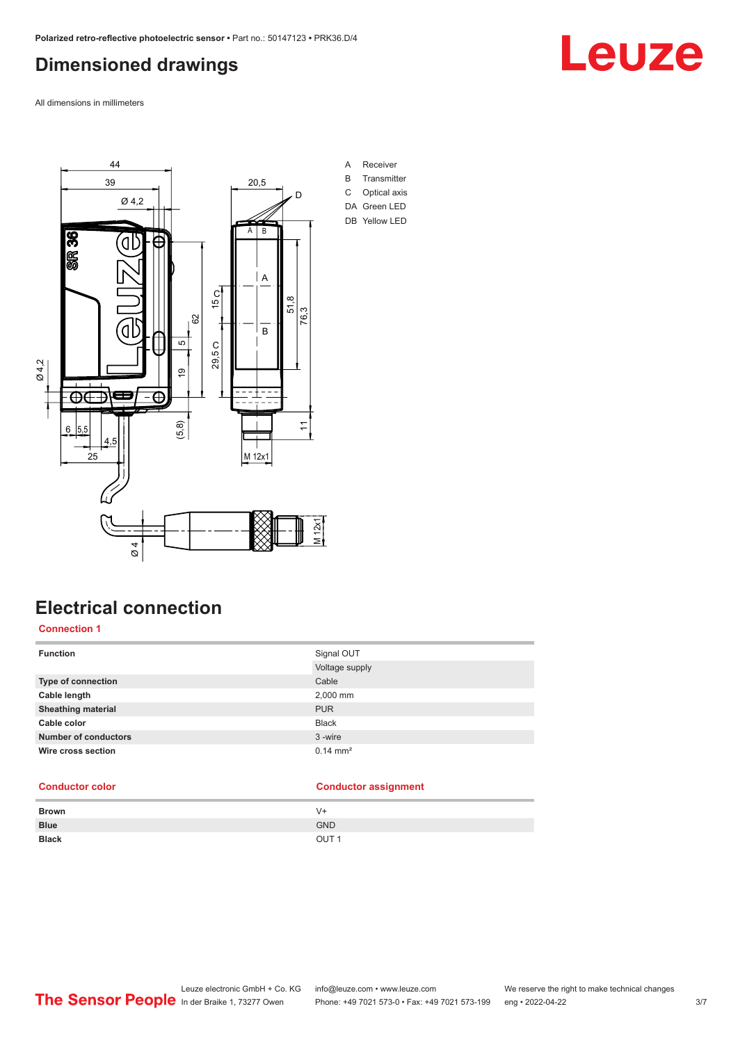### <span id="page-2-0"></span>**Dimensioned drawings**

All dimensions in millimeters



# **Electrical connection**

#### **Connection 1**

| <b>Function</b>             | Signal OUT            |
|-----------------------------|-----------------------|
|                             | Voltage supply        |
| Type of connection          | Cable                 |
| Cable length                | 2,000 mm              |
| <b>Sheathing material</b>   | <b>PUR</b>            |
| Cable color                 | <b>Black</b>          |
| <b>Number of conductors</b> | 3-wire                |
| Wire cross section          | $0.14 \, \text{mm}^2$ |

#### **Conductor color Conductor assignment**

| <b>Brown</b> | $V +$            |
|--------------|------------------|
| <b>Blue</b>  | <b>GND</b>       |
| <b>Black</b> | OUT <sub>1</sub> |

# Leuze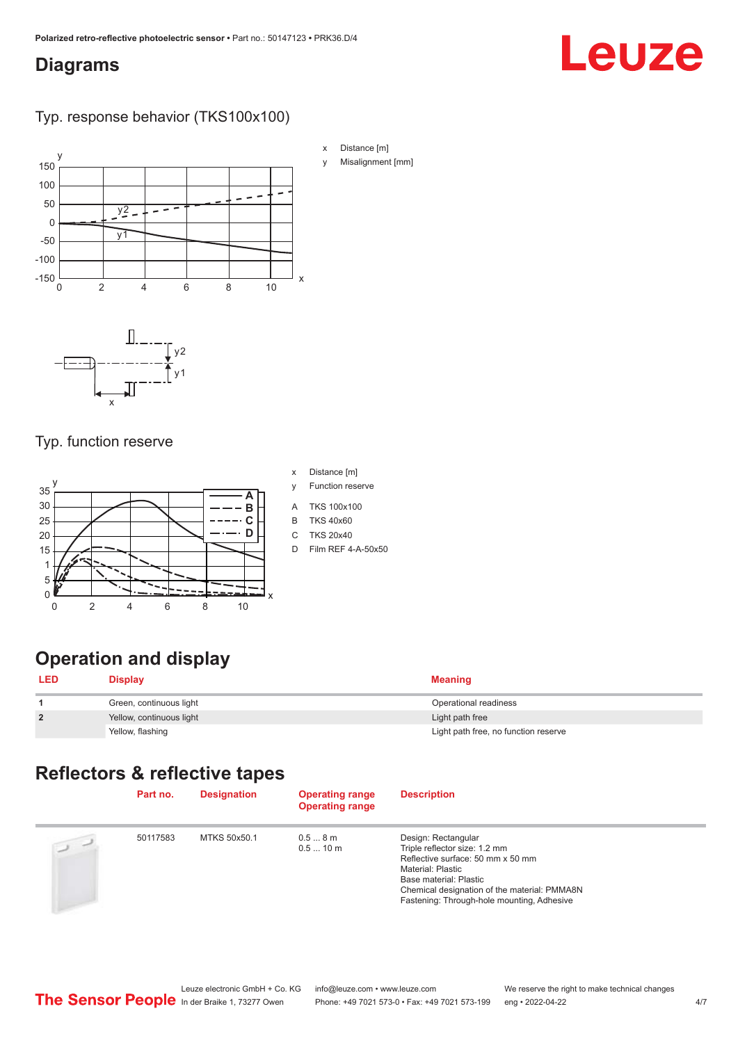#### <span id="page-3-0"></span>**Diagrams**

# Leuze

#### Typ. response behavior (TKS100x100)



### Typ. function reserve



- x Distance [m]
- y Function reserve
- A TKS 100x100
- B TKS 40x60
- C TKS 20x40
- D Film REF 4-A-50x50

# **Operation and display**

| <b>LED</b>     | <b>Display</b>           | Meaning                              |
|----------------|--------------------------|--------------------------------------|
|                | Green, continuous light  | Operational readiness                |
| $\overline{2}$ | Yellow, continuous light | Light path free                      |
|                | Yellow, flashing         | Light path free, no function reserve |

#### **Reflectors & reflective tapes**

|                | Part no. | <b>Designation</b> | <b>Operating range</b><br><b>Operating range</b> | <b>Description</b>                                                                                                                                                                                                                            |
|----------------|----------|--------------------|--------------------------------------------------|-----------------------------------------------------------------------------------------------------------------------------------------------------------------------------------------------------------------------------------------------|
| $\overline{2}$ | 50117583 | MTKS 50x50.1       | 0.58m<br>0.510 m                                 | Design: Rectangular<br>Triple reflector size: 1.2 mm<br>Reflective surface: 50 mm x 50 mm<br><b>Material: Plastic</b><br>Base material: Plastic<br>Chemical designation of the material: PMMA8N<br>Fastening: Through-hole mounting, Adhesive |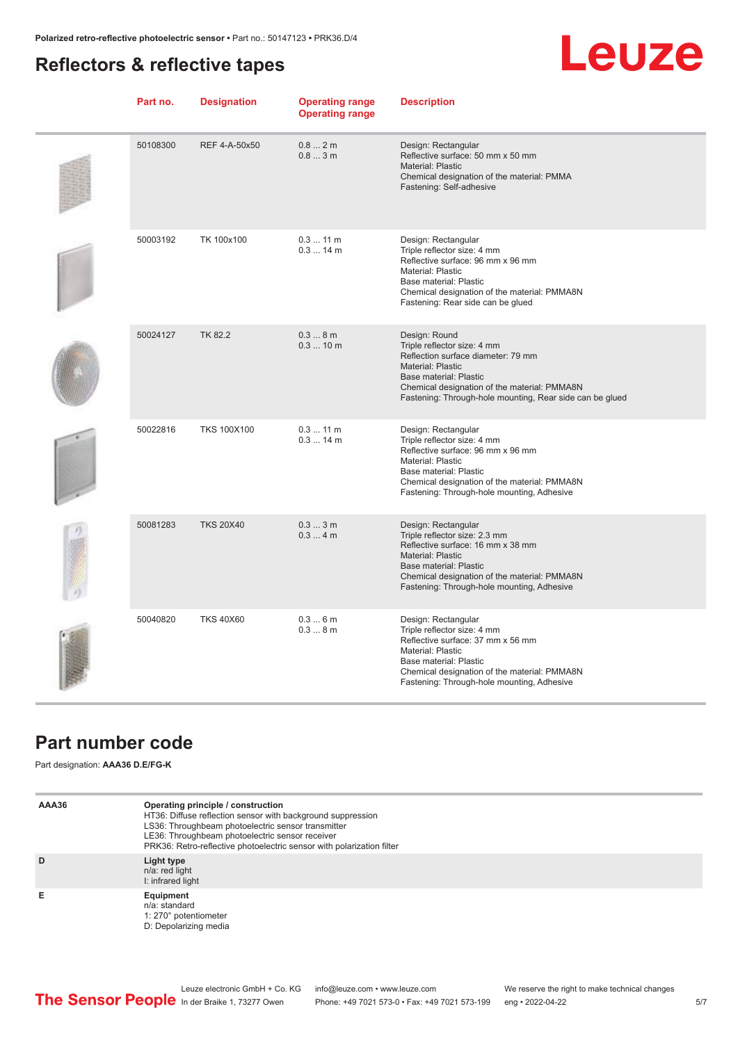### <span id="page-4-0"></span>**Reflectors & reflective tapes**

# **Leuze**

| Part no. | <b>Designation</b> | <b>Operating range</b><br><b>Operating range</b> | <b>Description</b>                                                                                                                                                                                                                            |
|----------|--------------------|--------------------------------------------------|-----------------------------------------------------------------------------------------------------------------------------------------------------------------------------------------------------------------------------------------------|
| 50108300 | REF 4-A-50x50      | 0.82m<br>0.83m                                   | Design: Rectangular<br>Reflective surface: 50 mm x 50 mm<br>Material: Plastic<br>Chemical designation of the material: PMMA<br>Fastening: Self-adhesive                                                                                       |
| 50003192 | TK 100x100         | $0.311$ m<br>$0.314$ m                           | Design: Rectangular<br>Triple reflector size: 4 mm<br>Reflective surface: 96 mm x 96 mm<br>Material: Plastic<br>Base material: Plastic<br>Chemical designation of the material: PMMA8N<br>Fastening: Rear side can be glued                   |
| 50024127 | <b>TK 82.2</b>     | 0.38m<br>0.310 m                                 | Design: Round<br>Triple reflector size: 4 mm<br>Reflection surface diameter: 79 mm<br>Material: Plastic<br>Base material: Plastic<br>Chemical designation of the material: PMMA8N<br>Fastening: Through-hole mounting, Rear side can be glued |
| 50022816 | <b>TKS 100X100</b> | $0.311$ m<br>$0.314$ m                           | Design: Rectangular<br>Triple reflector size: 4 mm<br>Reflective surface: 96 mm x 96 mm<br>Material: Plastic<br>Base material: Plastic<br>Chemical designation of the material: PMMA8N<br>Fastening: Through-hole mounting, Adhesive          |
| 50081283 | <b>TKS 20X40</b>   | 0.33m<br>0.34m                                   | Design: Rectangular<br>Triple reflector size: 2.3 mm<br>Reflective surface: 16 mm x 38 mm<br>Material: Plastic<br>Base material: Plastic<br>Chemical designation of the material: PMMA8N<br>Fastening: Through-hole mounting, Adhesive        |
| 50040820 | <b>TKS 40X60</b>   | 0.36m<br>0.38m                                   | Design: Rectangular<br>Triple reflector size: 4 mm<br>Reflective surface: 37 mm x 56 mm<br>Material: Plastic<br>Base material: Plastic<br>Chemical designation of the material: PMMA8N<br>Fastening: Through-hole mounting, Adhesive          |

### **Part number code**

Part designation: **AAA36 D.E/FG-K**

| AAA36 | Operating principle / construction<br>HT36: Diffuse reflection sensor with background suppression<br>LS36: Throughbeam photoelectric sensor transmitter<br>LE36: Throughbeam photoelectric sensor receiver<br>PRK36: Retro-reflective photoelectric sensor with polarization filter |
|-------|-------------------------------------------------------------------------------------------------------------------------------------------------------------------------------------------------------------------------------------------------------------------------------------|
| D     | Light type<br>n/a: red light<br>I: infrared light                                                                                                                                                                                                                                   |
| Е     | Equipment<br>n/a: standard<br>1: 270° potentiometer<br>D: Depolarizing media                                                                                                                                                                                                        |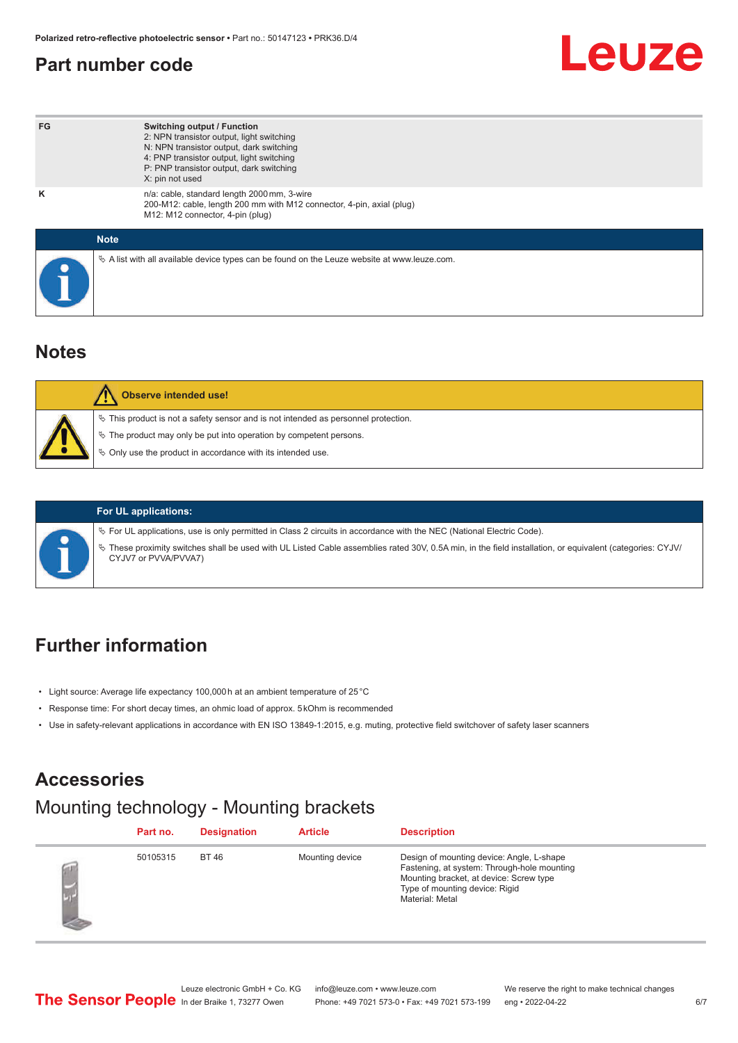### <span id="page-5-0"></span>**Part number code**

# Leuze

| FG          | <b>Switching output / Function</b><br>2: NPN transistor output, light switching<br>N: NPN transistor output, dark switching<br>4: PNP transistor output, light switching<br>P: PNP transistor output, dark switching<br>X: pin not used |
|-------------|-----------------------------------------------------------------------------------------------------------------------------------------------------------------------------------------------------------------------------------------|
| ĸ           | n/a: cable, standard length 2000 mm, 3-wire<br>200-M12: cable, length 200 mm with M12 connector, 4-pin, axial (plug)<br>M12: M12 connector, 4-pin (plug)                                                                                |
| <b>Note</b> |                                                                                                                                                                                                                                         |
|             | $\&$ A list with all available device types can be found on the Leuze website at www.leuze.com.                                                                                                                                         |

#### **Notes**

| <b>Observe intended use!</b>                                                                                                                                                                                                       |
|------------------------------------------------------------------------------------------------------------------------------------------------------------------------------------------------------------------------------------|
| $\%$ This product is not a safety sensor and is not intended as personnel protection.<br>$\&$ The product may only be put into operation by competent persons.<br>$\phi$ Only use the product in accordance with its intended use. |



#### **For UL applications:**

ª For UL applications, use is only permitted in Class 2 circuits in accordance with the NEC (National Electric Code).

ª These proximity switches shall be used with UL Listed Cable assemblies rated 30V, 0.5A min, in the field installation, or equivalent (categories: CYJV/ CYJV7 or PVVA/PVVA7)

### **Further information**

- Light source: Average life expectancy 100,000 h at an ambient temperature of 25 °C
- Response time: For short decay times, an ohmic load of approx. 5 kOhm is recommended
- Use in safety-relevant applications in accordance with EN ISO 13849-1:2015, e.g. muting, protective field switchover of safety laser scanners

#### **Accessories**

### Mounting technology - Mounting brackets

| Part no. | <b>Designation</b> | <b>Article</b>  | <b>Description</b>                                                                                                                                                                       |
|----------|--------------------|-----------------|------------------------------------------------------------------------------------------------------------------------------------------------------------------------------------------|
| 50105315 | <b>BT 46</b>       | Mounting device | Design of mounting device: Angle, L-shape<br>Fastening, at system: Through-hole mounting<br>Mounting bracket, at device: Screw type<br>Type of mounting device: Rigid<br>Material: Metal |